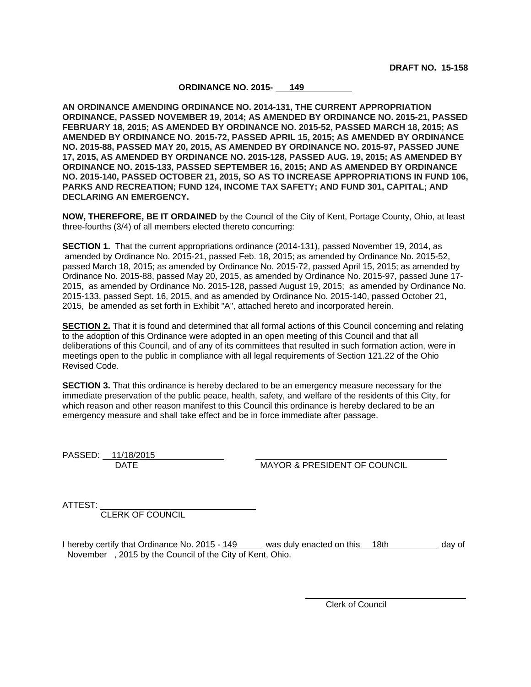## **ORDINANCE NO. 2015- 149**

**AN ORDINANCE AMENDING ORDINANCE NO. 2014-131, THE CURRENT APPROPRIATION ORDINANCE, PASSED NOVEMBER 19, 2014; AS AMENDED BY ORDINANCE NO. 2015-21, PASSED FEBRUARY 18, 2015; AS AMENDED BY ORDINANCE NO. 2015-52, PASSED MARCH 18, 2015; AS AMENDED BY ORDINANCE NO. 2015-72, PASSED APRIL 15, 2015; AS AMENDED BY ORDINANCE NO. 2015-88, PASSED MAY 20, 2015, AS AMENDED BY ORDINANCE NO. 2015-97, PASSED JUNE 17, 2015, AS AMENDED BY ORDINANCE NO. 2015-128, PASSED AUG. 19, 2015; AS AMENDED BY ORDINANCE NO. 2015-133, PASSED SEPTEMBER 16, 2015; AND AS AMENDED BY ORDINANCE NO. 2015-140, PASSED OCTOBER 21, 2015, SO AS TO INCREASE APPROPRIATIONS IN FUND 106, PARKS AND RECREATION; FUND 124, INCOME TAX SAFETY; AND FUND 301, CAPITAL; AND DECLARING AN EMERGENCY.**

**NOW, THEREFORE, BE IT ORDAINED** by the Council of the City of Kent, Portage County, Ohio, at least three-fourths (3/4) of all members elected thereto concurring:

**SECTION 1.** That the current appropriations ordinance (2014-131), passed November 19, 2014, as amended by Ordinance No. 2015-21, passed Feb. 18, 2015; as amended by Ordinance No. 2015-52, passed March 18, 2015; as amended by Ordinance No. 2015-72, passed April 15, 2015; as amended by Ordinance No. 2015-88, passed May 20, 2015, as amended by Ordinance No. 2015-97, passed June 17- 2015, as amended by Ordinance No. 2015-128, passed August 19, 2015; as amended by Ordinance No. 2015-133, passed Sept. 16, 2015, and as amended by Ordinance No. 2015-140, passed October 21, 2015, be amended as set forth in Exhibit "A", attached hereto and incorporated herein.

**SECTION 2.** That it is found and determined that all formal actions of this Council concerning and relating to the adoption of this Ordinance were adopted in an open meeting of this Council and that all deliberations of this Council, and of any of its committees that resulted in such formation action, were in meetings open to the public in compliance with all legal requirements of Section 121.22 of the Ohio Revised Code.

**SECTION 3.** That this ordinance is hereby declared to be an emergency measure necessary for the immediate preservation of the public peace, health, safety, and welfare of the residents of this City, for which reason and other reason manifest to this Council this ordinance is hereby declared to be an emergency measure and shall take effect and be in force immediate after passage.

PASSED: 11/18/2015

DATE MAYOR & PRESIDENT OF COUNCIL

ATTEST:

CLERK OF COUNCIL

I hereby certify that Ordinance No. 2015 - 149 was duly enacted on this 18th day of November , 2015 by the Council of the City of Kent, Ohio.

Clerk of Council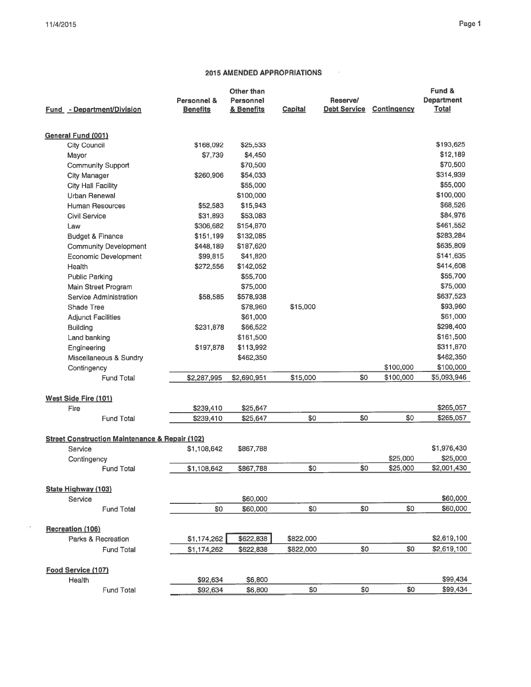$\mathcal{A}$ 

## 2015 AMENDED APPROPRIATIONS

 $\sim$  15

| Fund - Department/Division                                | Personnel &<br><b>Benefits</b> | Other than<br>Personnel<br>& Benefits | <b>Capital</b> | Reserve/<br><b>Debt Service</b> | <b>Contingency</b> | Fund &<br><b>Department</b><br>Total |
|-----------------------------------------------------------|--------------------------------|---------------------------------------|----------------|---------------------------------|--------------------|--------------------------------------|
| <b>General Fund (001)</b>                                 |                                |                                       |                |                                 |                    |                                      |
| City Council                                              | \$168,092                      | \$25,533                              |                |                                 |                    | \$193,625                            |
| Mayor                                                     | \$7,739                        | \$4,450                               |                |                                 |                    | \$12,189                             |
| <b>Community Support</b>                                  |                                | \$70,500                              |                |                                 |                    | \$70,500                             |
| <b>City Manager</b>                                       | \$260,906                      | \$54,033                              |                |                                 |                    | \$314,939                            |
| <b>City Hall Facility</b>                                 |                                | \$55,000                              |                |                                 |                    | \$55,000                             |
| Urban Renewal                                             |                                | \$100,000                             |                |                                 |                    | \$100,000                            |
| <b>Human Resources</b>                                    | \$52,583                       | \$15,943                              |                |                                 |                    | \$68,526                             |
| <b>Civil Service</b>                                      | \$31,893                       | \$53,083                              |                |                                 |                    | \$84,976                             |
| Law                                                       | \$306,682                      | \$154,870                             |                |                                 |                    | \$461,552                            |
| <b>Budget &amp; Finance</b>                               | \$151,199                      | \$132,085                             |                |                                 |                    | \$283,284                            |
| <b>Community Development</b>                              | \$448,189                      | \$187,620                             |                |                                 |                    | \$635,809                            |
| <b>Economic Development</b>                               | \$99,815                       | \$41,820                              |                |                                 |                    | \$141,635                            |
| Health                                                    | \$272,556                      | \$142,052                             |                |                                 |                    | \$414,608                            |
| <b>Public Parking</b>                                     |                                | \$55,700                              |                |                                 |                    | \$55,700                             |
| Main Street Program                                       |                                | \$75,000                              |                |                                 |                    | \$75,000                             |
| Service Administration                                    | \$58,585                       | \$578,938                             |                |                                 |                    | \$637,523                            |
| Shade Tree                                                |                                | \$78,960                              | \$15,000       |                                 |                    | \$93,960                             |
| <b>Adjunct Facilities</b>                                 |                                | \$61,000                              |                |                                 |                    | \$61,000                             |
| <b>Building</b>                                           | \$231,878                      | \$66,522                              |                |                                 |                    | \$298,400                            |
| Land banking                                              |                                | \$161,500                             |                |                                 |                    | \$161,500                            |
| Engineering                                               | \$197,878                      | \$113,992                             |                |                                 |                    | \$311,870                            |
| Miscellaneous & Sundry                                    |                                | \$462,350                             |                |                                 |                    | \$462,350                            |
| Contingency                                               |                                |                                       |                |                                 | \$100,000          | \$100,000                            |
| <b>Fund Total</b>                                         | \$2,287,995                    | \$2,690,951                           | \$15,000       | \$0                             | \$100,000          | \$5,093,946                          |
| <b>West Side Fire (101)</b>                               |                                |                                       |                |                                 |                    |                                      |
| Fire                                                      | \$239,410                      | \$25,647                              |                |                                 |                    | \$265,057                            |
| <b>Fund Total</b>                                         | \$239,410                      | \$25,647                              | \$0            | \$0                             | \$0                | \$265,057                            |
| <b>Street Construction Maintenance &amp; Repair (102)</b> |                                |                                       |                |                                 |                    |                                      |
| Service                                                   | \$1,108,642                    | \$867,788                             |                |                                 |                    | \$1,976,430                          |
| Contingency                                               |                                |                                       |                |                                 | \$25,000           | \$25,000                             |
| <b>Fund Total</b>                                         | \$1,108,642                    | \$867,788                             | \$0            | \$0                             | \$25,000           | \$2,001,430                          |
| <b>State Highway (103)</b>                                |                                |                                       |                |                                 |                    |                                      |
| Service                                                   |                                | \$60,000                              |                |                                 |                    | \$60,000                             |
| <b>Fund Total</b>                                         | \$0                            | \$60,000                              | \$0            | \$0                             | \$0                | \$60,000                             |
| <b>Recreation (106)</b>                                   |                                |                                       |                |                                 |                    |                                      |
| Parks & Recreation                                        | \$1,174,262                    | \$622,838                             | \$822,000      |                                 |                    | \$2,619,100                          |
| <b>Fund Total</b>                                         | \$1,174,262                    | \$622,838                             | \$822,000      | \$0                             | \$0                | \$2,619,100                          |
| Food Service (107)                                        |                                |                                       |                |                                 |                    |                                      |
| Health                                                    | \$92,634                       | \$6,800                               |                |                                 |                    | \$99,434                             |
| <b>Fund Total</b>                                         | \$92.634                       | \$6,800                               | \$0            | \$0                             | \$0                | \$99,434                             |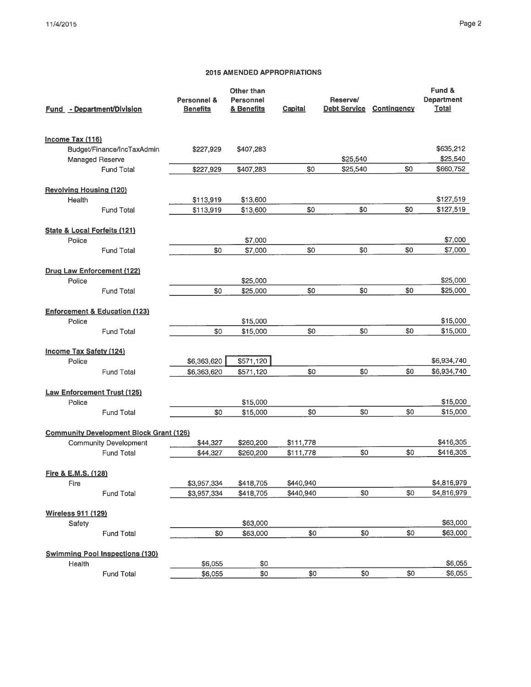## 2015 AMENDED APPROPRIATIONS

| <b>Fund - Department/Division</b>                                              | Personnel &<br><b>Benefits</b> | Other than<br>Personnel<br>& Benefits | <b>Capital</b> | Reserve/<br><b>Debt Service</b> | Contingency | Fund &<br><b>Department</b><br><b>Total</b> |
|--------------------------------------------------------------------------------|--------------------------------|---------------------------------------|----------------|---------------------------------|-------------|---------------------------------------------|
| Income Tax (116)                                                               |                                |                                       |                |                                 |             |                                             |
| Budget/Finance/IncTaxAdmin                                                     | \$227.929                      | \$407,283                             |                |                                 |             | \$635,212                                   |
| Managed Reserve                                                                |                                |                                       |                | \$25,540                        |             | \$25,540                                    |
| <b>Fund Total</b>                                                              | \$227,929                      | \$407,283                             | \$0            | \$25,540                        | \$0         | \$660,752                                   |
| <b>Revolving Housing (120)</b>                                                 |                                |                                       |                |                                 |             |                                             |
| Health                                                                         | \$113,919                      | \$13,600                              |                |                                 |             | \$127,519                                   |
| <b>Fund Total</b>                                                              | \$113,919                      | \$13,600                              | \$0            | \$0                             | \$0         | \$127,519                                   |
|                                                                                |                                |                                       |                |                                 |             |                                             |
| State & Local Forfeits (121)                                                   |                                |                                       |                |                                 |             |                                             |
| Police<br><b>Fund Total</b>                                                    | \$0                            | \$7,000<br>\$7,000                    | \$0            | \$0                             | \$0         | \$7,000<br>\$7,000                          |
|                                                                                |                                |                                       |                |                                 |             |                                             |
| Drug Law Enforcement (122)                                                     |                                |                                       |                |                                 |             |                                             |
| Police                                                                         |                                | \$25,000                              |                |                                 |             | \$25,000                                    |
| <b>Fund Total</b>                                                              | \$0                            | \$25,000                              | \$0            | \$0                             | \$0         | \$25,000                                    |
| <b>Enforcement &amp; Education (123)</b>                                       |                                |                                       |                |                                 |             |                                             |
| Police                                                                         |                                | \$15,000                              |                |                                 |             | \$15,000                                    |
| <b>Fund Total</b>                                                              | \$0                            | \$15,000                              | \$0            | \$0                             | \$0         | \$15,000                                    |
|                                                                                |                                |                                       |                |                                 |             |                                             |
| <b>Income Tax Safety (124)</b>                                                 |                                |                                       |                |                                 |             |                                             |
| Police                                                                         | \$6,363,620                    | \$571,120                             |                |                                 |             | \$6,934,740                                 |
| <b>Fund Total</b>                                                              | \$6,363,620                    | \$571,120                             | \$0            | \$0                             | \$0         | \$6,934,740                                 |
| <b>Law Enforcement Trust (125)</b>                                             |                                |                                       |                |                                 |             |                                             |
| Police                                                                         |                                | \$15,000                              |                |                                 |             | \$15,000                                    |
| <b>Fund Total</b>                                                              | \$0                            | \$15,000                              | \$0            | \$0                             | \$0         | \$15,000                                    |
|                                                                                |                                |                                       |                |                                 |             |                                             |
| <b>Community Development Block Grant (126)</b><br><b>Community Development</b> | \$44,327                       | \$260,200                             | \$111,778      |                                 |             | \$416,305                                   |
| <b>Fund Total</b>                                                              | \$44,327                       | \$260,200                             | \$111,778      | \$0                             | \$0         | \$416,305                                   |
|                                                                                |                                |                                       |                |                                 |             |                                             |
| Fire & E.M.S. (128)                                                            |                                |                                       |                |                                 |             |                                             |
| Fire                                                                           | \$3,957,334                    | \$418,705                             | \$440,940      |                                 |             | \$4,816,979                                 |
| <b>Fund Total</b>                                                              | \$3,957,334                    | \$418,705                             | \$440,940      | \$0                             | \$0         | \$4,816,979                                 |
| Wireless 911 (129)                                                             |                                |                                       |                |                                 |             |                                             |
| Safety                                                                         |                                | \$63,000                              |                |                                 |             | \$63,000                                    |
| <b>Fund Total</b>                                                              | \$0                            | \$63,000                              | \$0            | \$0                             | \$0         | \$63,000                                    |
|                                                                                |                                |                                       |                |                                 |             |                                             |
| <b>Swimming Pool Inspections (130)</b><br>Health                               | \$6,055                        | \$0                                   |                |                                 |             | \$6,055                                     |
| <b>Fund Total</b>                                                              | \$6,055                        | \$0                                   | \$0            | \$0                             | \$0         | \$6,055                                     |
|                                                                                |                                |                                       |                |                                 |             |                                             |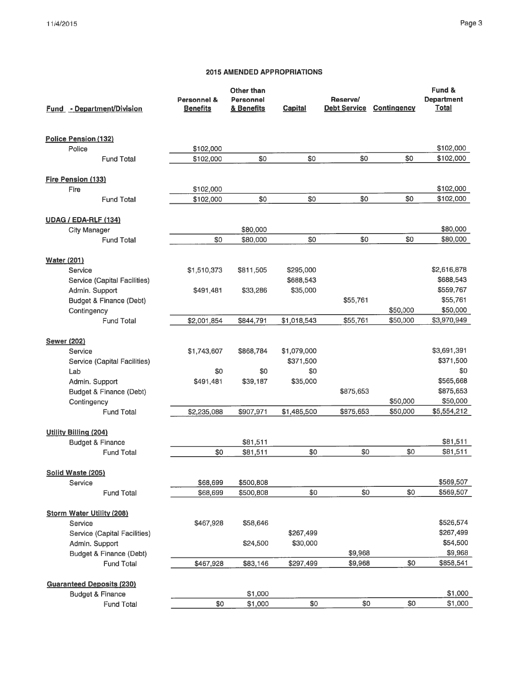# **2015 AMENDED APPROPRIATIONS**

| <b>Fund - Department/Division</b> | Personnel &<br><b>Benefits</b> | Other than<br>Personnel<br>& Benefits | <b>Capital</b> | Reserve/<br><b>Debt Service</b> | Contingency | Fund &<br><b>Department</b><br><b>Total</b> |
|-----------------------------------|--------------------------------|---------------------------------------|----------------|---------------------------------|-------------|---------------------------------------------|
| <b>Police Pension (132)</b>       |                                |                                       |                |                                 |             |                                             |
| Police                            | \$102,000                      |                                       |                |                                 |             | \$102,000                                   |
| <b>Fund Total</b>                 | \$102,000                      | \$0                                   | \$0            | \$0                             | \$0         | \$102,000                                   |
| Fire Pension (133)                |                                |                                       |                |                                 |             |                                             |
| Fire                              | \$102,000                      |                                       |                |                                 |             | \$102,000                                   |
| <b>Fund Total</b>                 | \$102,000                      | \$0                                   | \$0            | \$0                             | \$0         | \$102,000                                   |
| <b>UDAG / EDA-RLF (134)</b>       |                                |                                       |                |                                 |             |                                             |
| <b>City Manager</b>               |                                | \$80,000                              |                |                                 |             | \$80,000                                    |
| <b>Fund Total</b>                 | \$0                            | \$80,000                              | \$0            | \$0                             | \$0         | \$80,000                                    |
| <b>Water (201)</b>                |                                |                                       |                |                                 |             |                                             |
| Service                           | \$1,510,373                    | \$811,505                             | \$295,000      |                                 |             | \$2,616,878                                 |
| Service (Capital Facilities)      |                                |                                       | \$688,543      |                                 |             | \$688,543                                   |
| Admin. Support                    | \$491,481                      | \$33,286                              | \$35,000       |                                 |             | \$559,767                                   |
| Budget & Finance (Debt)           |                                |                                       |                | \$55,761                        |             | \$55,761                                    |
| Contingency                       |                                |                                       |                |                                 | \$50,000    | \$50,000                                    |
| <b>Fund Total</b>                 | \$2,001,854                    | \$844,791                             | \$1,018,543    | \$55,761                        | \$50,000    | \$3,970,949                                 |
| <b>Sewer (202)</b>                |                                |                                       |                |                                 |             |                                             |
| Service                           | \$1,743,607                    | \$868,784                             | \$1,079,000    |                                 |             | \$3,691,391                                 |
| Service (Capital Facilities)      |                                |                                       | \$371,500      |                                 |             | \$371,500                                   |
| Lab                               | \$0                            | \$0                                   | \$0            |                                 |             | \$0                                         |
| Admin. Support                    | \$491,481                      | \$39,187                              | \$35,000       |                                 |             | \$565,668                                   |
| Budget & Finance (Debt)           |                                |                                       |                | \$875,653                       |             | \$875,653                                   |
| Contingency                       |                                |                                       |                |                                 | \$50,000    | \$50,000                                    |
| <b>Fund Total</b>                 | \$2,235,088                    | \$907,971                             | \$1,485,500    | \$875,653                       | \$50,000    | \$5,554,212                                 |
| <b>Utility Billing (204)</b>      |                                |                                       |                |                                 |             |                                             |
| <b>Budget &amp; Finance</b>       |                                | \$81,511                              |                |                                 |             | \$81,511                                    |
| <b>Fund Total</b>                 | \$0                            | \$81,511                              | \$0            | \$0                             | \$0         | \$81,511                                    |
| Solid Waste (205)                 |                                |                                       |                |                                 |             |                                             |
| Service                           | \$68,699                       | \$500,808                             |                |                                 |             | \$569,507                                   |
| <b>Fund Total</b>                 | \$68,699                       | \$500,808                             | \$0            | \$0                             | \$0         | \$569,507                                   |
| <b>Storm Water Utility (208)</b>  |                                |                                       |                |                                 |             |                                             |
| Service                           | \$467,928                      | \$58,646                              |                |                                 |             | \$526,574                                   |
| Service (Capital Facilities)      |                                |                                       | \$267,499      |                                 |             | \$267,499                                   |
| Admin. Support                    |                                | \$24,500                              | \$30,000       |                                 |             | \$54,500                                    |
| Budget & Finance (Debt)           |                                |                                       |                | \$9,968                         |             | \$9,968                                     |
| <b>Fund Total</b>                 | \$467,928                      | \$83,146                              | \$297,499      | \$9,968                         | \$0         | \$858,541                                   |
| <b>Guaranteed Deposits (230)</b>  |                                |                                       |                |                                 |             |                                             |
| <b>Budget &amp; Finance</b>       |                                | \$1,000                               |                |                                 |             | \$1,000                                     |
| Fund Total                        | \$0                            | \$1,000                               | \$0            | \$0                             | \$0         | \$1,000                                     |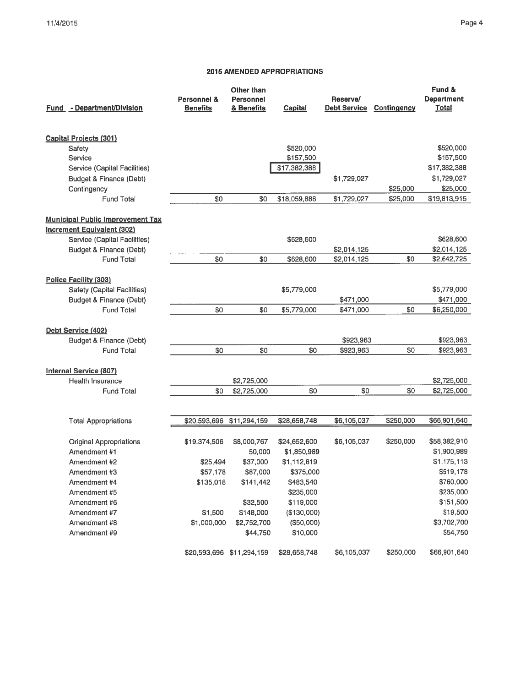## Page 4

### 2015 AMENDED APPROPRIATIONS

| Fund - Department/Division              | <b>Personnel &amp;</b><br><b>Benefits</b> | <b>Other than</b><br>Personnel<br>& Benefits | <b>Capital</b> | Reserve/<br><b>Debt Service</b> | <b>Contingency</b> | Fund &<br><b>Department</b><br><b>Total</b> |
|-----------------------------------------|-------------------------------------------|----------------------------------------------|----------------|---------------------------------|--------------------|---------------------------------------------|
| <b>Capital Projects (301)</b>           |                                           |                                              |                |                                 |                    |                                             |
| Safety                                  |                                           |                                              | \$520,000      |                                 |                    | \$520,000                                   |
| Service                                 |                                           |                                              | \$157,500      |                                 |                    | \$157,500                                   |
| Service (Capital Facilities)            |                                           |                                              | \$17,382,388   |                                 |                    | \$17,382,388                                |
| Budget & Finance (Debt)                 |                                           |                                              |                | \$1,729,027                     |                    | \$1,729,027                                 |
| Contingency                             |                                           |                                              |                |                                 | \$25,000           | \$25,000                                    |
| <b>Fund Total</b>                       | \$0                                       | \$0                                          | \$18,059,888   | \$1,729,027                     | \$25,000           | \$19,813,915                                |
| <b>Municipal Public Improvement Tax</b> |                                           |                                              |                |                                 |                    |                                             |
| <b>Increment Equivalent (302)</b>       |                                           |                                              |                |                                 |                    |                                             |
| Service (Capital Facilities)            |                                           |                                              | \$628,600      |                                 |                    | \$628,600                                   |
| Budget & Finance (Debt)                 |                                           |                                              |                | \$2,014,125                     |                    | \$2,014,125                                 |
| <b>Fund Total</b>                       | \$0                                       | \$0                                          | \$628,600      | \$2,014,125                     | \$0                | \$2,642,725                                 |
| <b>Police Facility (303)</b>            |                                           |                                              |                |                                 |                    |                                             |
| Safety (Capital Facilities)             |                                           |                                              | \$5,779,000    |                                 |                    | \$5,779,000                                 |
| Budget & Finance (Debt)                 |                                           |                                              |                | \$471,000                       |                    | \$471,000                                   |
| <b>Fund Total</b>                       | \$0                                       | \$0                                          | \$5,779,000    | \$471,000                       | \$0                | \$6,250,000                                 |
| Debt Service (402)                      |                                           |                                              |                |                                 |                    |                                             |
| Budget & Finance (Debt)                 |                                           |                                              |                | \$923,963                       |                    | \$923,963                                   |
| <b>Fund Total</b>                       | \$0                                       | \$0                                          | \$0            | \$923,963                       | \$0                | \$923,963                                   |
| Internal Service (807)                  |                                           |                                              |                |                                 |                    |                                             |
| Health Insurance                        |                                           | \$2,725,000                                  |                |                                 |                    | \$2,725,000                                 |
| <b>Fund Total</b>                       | \$0                                       | \$2,725,000                                  | \$0            | \$0                             | \$0                | \$2,725,000                                 |
|                                         |                                           |                                              |                |                                 |                    |                                             |
| <b>Total Appropriations</b>             | \$20,593,696 \$11,294,159                 |                                              | \$28,658,748   | \$6,105,037                     | \$250,000          | \$66,901,640                                |
| <b>Original Appropriations</b>          | \$19,374,506                              | \$8,000,767                                  | \$24,652,600   | \$6,105,037                     | \$250,000          | \$58,382,910                                |
| Amendment #1                            |                                           | 50,000                                       | \$1,850,989    |                                 |                    | \$1,900,989                                 |
| Amendment #2                            | \$25,494                                  | \$37,000                                     | \$1,112,619    |                                 |                    | \$1,175,113                                 |
| Amendment #3                            | \$57,178                                  | \$87,000                                     | \$375,000      |                                 |                    | \$519,178                                   |
| Amendment #4                            | \$135,018                                 | \$141,442                                    | \$483,540      |                                 |                    | \$760,000                                   |
| Amendment #5                            |                                           |                                              | \$235,000      |                                 |                    | \$235,000                                   |
| Amendment #6                            |                                           | \$32,500                                     | \$119,000      |                                 |                    | \$151,500                                   |
| Amendment #7                            | \$1,500                                   | \$148,000                                    | (\$130,000)    |                                 |                    | \$19,500                                    |
| Amendment #8                            | \$1,000,000                               | \$2,752,700                                  | (\$50,000)     |                                 |                    | \$3,702,700                                 |
| Amendment #9                            |                                           | \$44,750                                     | \$10,000       |                                 |                    | \$54,750                                    |
|                                         | \$20,593,696 \$11,294,159                 |                                              | \$28,658,748   | \$6,105,037                     | \$250,000          | \$66,901,640                                |